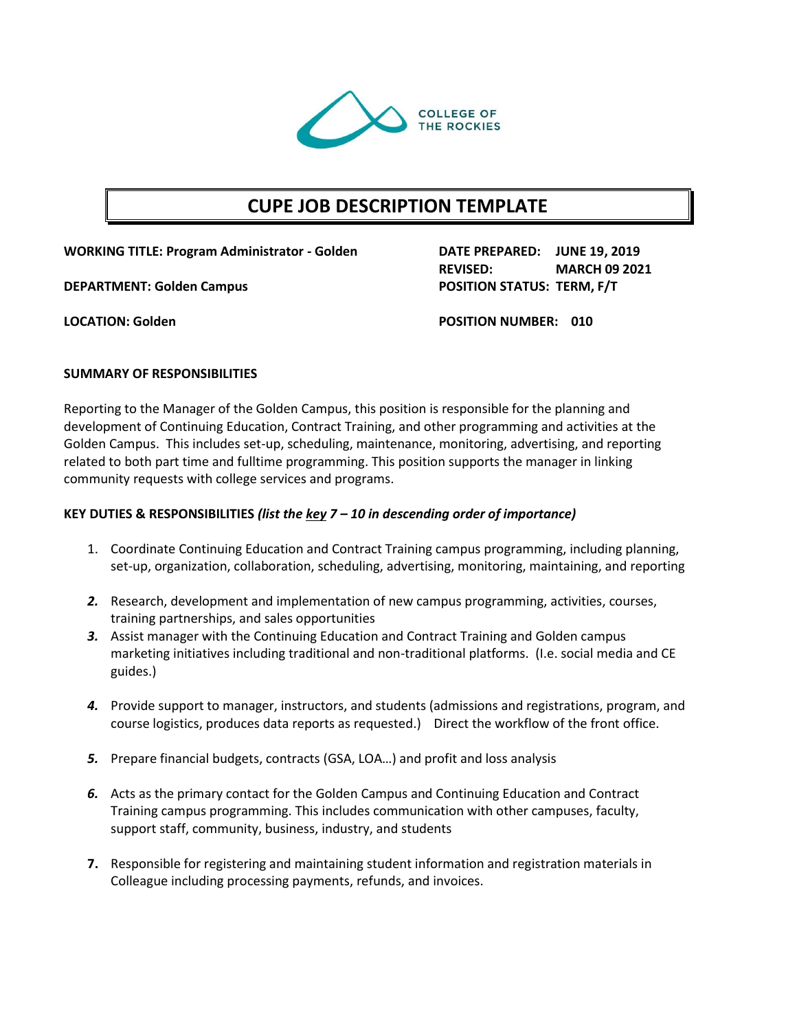

# **CUPE JOB DESCRIPTION TEMPLATE**

**WORKING TITLE: Program Administrator - Golden DATE PREPARED: JUNE 19, 2019**

**DEPARTMENT: Golden Campus POSITION STATUS: TERM, F/T**

**REVISED: MARCH 09 2021**

**LOCATION: Golden POSITION NUMBER: 010**

## **SUMMARY OF RESPONSIBILITIES**

Reporting to the Manager of the Golden Campus, this position is responsible for the planning and development of Continuing Education, Contract Training, and other programming and activities at the Golden Campus. This includes set-up, scheduling, maintenance, monitoring, advertising, and reporting related to both part time and fulltime programming. This position supports the manager in linking community requests with college services and programs.

#### **KEY DUTIES & RESPONSIBILITIES** *(list the key 7 – 10 in descending order of importance)*

- 1. Coordinate Continuing Education and Contract Training campus programming, including planning, set-up, organization, collaboration, scheduling, advertising, monitoring, maintaining, and reporting
- *2.* Research, development and implementation of new campus programming, activities, courses, training partnerships, and sales opportunities
- *3.* Assist manager with the Continuing Education and Contract Training and Golden campus marketing initiatives including traditional and non-traditional platforms. (I.e. social media and CE guides.)
- *4.* Provide support to manager, instructors, and students (admissions and registrations, program, and course logistics, produces data reports as requested.) Direct the workflow of the front office.
- *5.* Prepare financial budgets, contracts (GSA, LOA…) and profit and loss analysis
- *6.* Acts as the primary contact for the Golden Campus and Continuing Education and Contract Training campus programming. This includes communication with other campuses, faculty, support staff, community, business, industry, and students
- **7.** Responsible for registering and maintaining student information and registration materials in Colleague including processing payments, refunds, and invoices.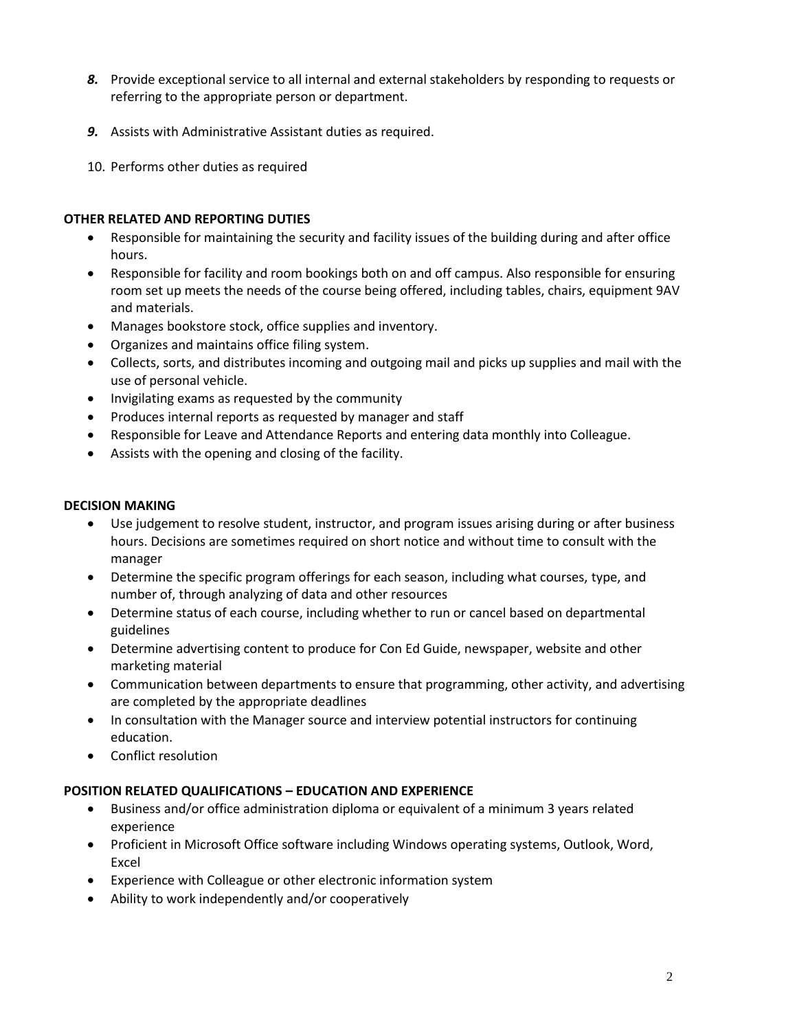- *8.* Provide exceptional service to all internal and external stakeholders by responding to requests or referring to the appropriate person or department.
- *9.* Assists with Administrative Assistant duties as required.
- 10. Performs other duties as required

## **OTHER RELATED AND REPORTING DUTIES**

- Responsible for maintaining the security and facility issues of the building during and after office hours.
- Responsible for facility and room bookings both on and off campus. Also responsible for ensuring room set up meets the needs of the course being offered, including tables, chairs, equipment 9AV and materials.
- Manages bookstore stock, office supplies and inventory.
- Organizes and maintains office filing system.
- Collects, sorts, and distributes incoming and outgoing mail and picks up supplies and mail with the use of personal vehicle.
- Invigilating exams as requested by the community
- Produces internal reports as requested by manager and staff
- Responsible for Leave and Attendance Reports and entering data monthly into Colleague.
- Assists with the opening and closing of the facility.

#### **DECISION MAKING**

- Use judgement to resolve student, instructor, and program issues arising during or after business hours. Decisions are sometimes required on short notice and without time to consult with the manager
- Determine the specific program offerings for each season, including what courses, type, and number of, through analyzing of data and other resources
- Determine status of each course, including whether to run or cancel based on departmental guidelines
- Determine advertising content to produce for Con Ed Guide, newspaper, website and other marketing material
- Communication between departments to ensure that programming, other activity, and advertising are completed by the appropriate deadlines
- In consultation with the Manager source and interview potential instructors for continuing education.
- Conflict resolution

## **POSITION RELATED QUALIFICATIONS – EDUCATION AND EXPERIENCE**

- Business and/or office administration diploma or equivalent of a minimum 3 years related experience
- Proficient in Microsoft Office software including Windows operating systems, Outlook, Word, Excel
- Experience with Colleague or other electronic information system
- Ability to work independently and/or cooperatively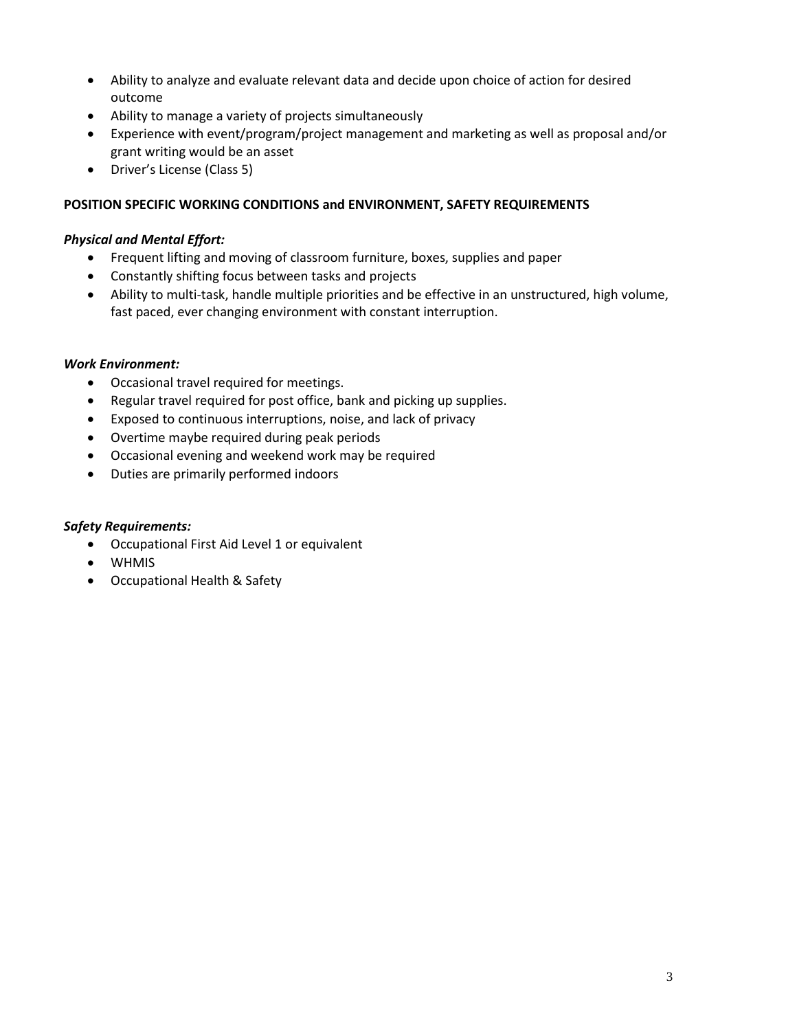- Ability to analyze and evaluate relevant data and decide upon choice of action for desired outcome
- Ability to manage a variety of projects simultaneously
- Experience with event/program/project management and marketing as well as proposal and/or grant writing would be an asset
- Driver's License (Class 5)

## **POSITION SPECIFIC WORKING CONDITIONS and ENVIRONMENT, SAFETY REQUIREMENTS**

## *Physical and Mental Effort:*

- Frequent lifting and moving of classroom furniture, boxes, supplies and paper
- Constantly shifting focus between tasks and projects
- Ability to multi-task, handle multiple priorities and be effective in an unstructured, high volume, fast paced, ever changing environment with constant interruption.

#### *Work Environment:*

- Occasional travel required for meetings.
- Regular travel required for post office, bank and picking up supplies.
- Exposed to continuous interruptions, noise, and lack of privacy
- Overtime maybe required during peak periods
- Occasional evening and weekend work may be required
- Duties are primarily performed indoors

## *Safety Requirements:*

- Occupational First Aid Level 1 or equivalent
- WHMIS
- Occupational Health & Safety